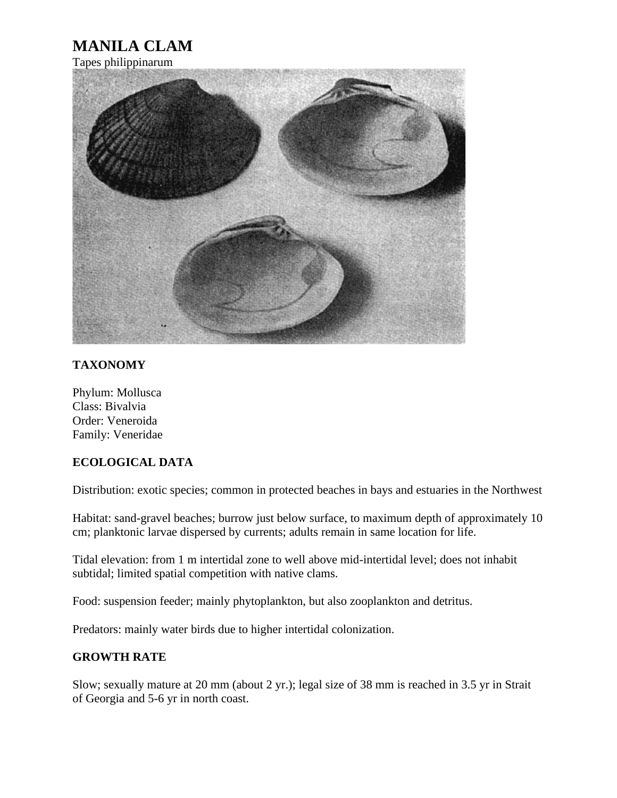## **MANILA CLAM**

Tapes philippinarum



## **TAXONOMY**

Phylum: Mollusca Class: Bivalvia Order: Veneroida Family: Veneridae

## **ECOLOGICAL DATA**

Distribution: exotic species; common in protected beaches in bays and estuaries in the Northwest

Habitat: sand-gravel beaches; burrow just below surface, to maximum depth of approximately 10 cm; planktonic larvae dispersed by currents; adults remain in same location for life.

Tidal elevation: from 1 m intertidal zone to well above mid-intertidal level; does not inhabit subtidal; limited spatial competition with native clams.

Food: suspension feeder; mainly phytoplankton, but also zooplankton and detritus.

Predators: mainly water birds due to higher intertidal colonization.

## **GROWTH RATE**

Slow; sexually mature at 20 mm (about 2 yr.); legal size of 38 mm is reached in 3.5 yr in Strait of Georgia and 5-6 yr in north coast.